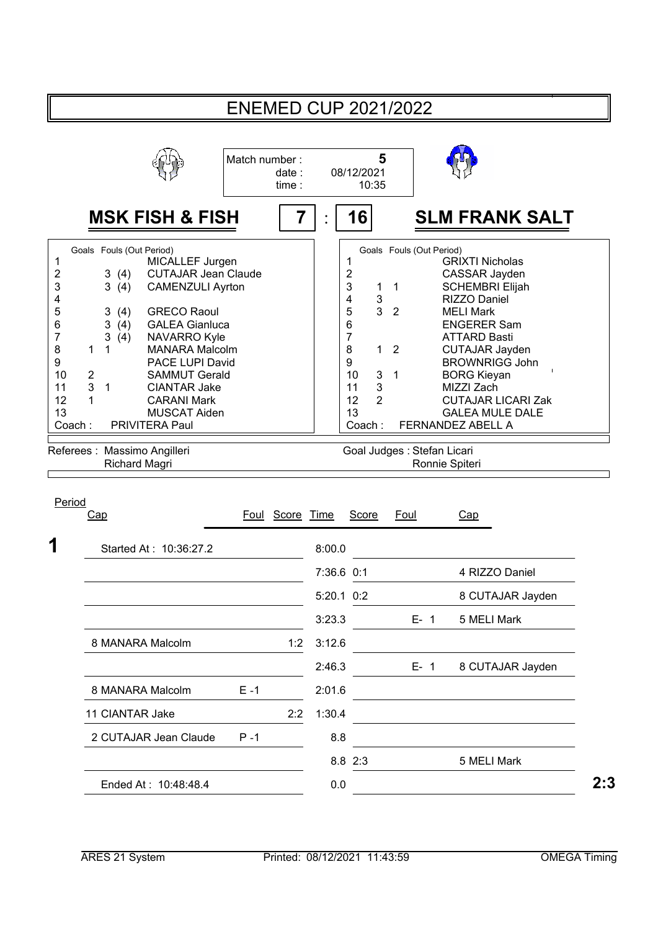|                                                                             |                                                                                                                                                                                                                                                                                                                                                                                                                                                                                |                                 | <b>ENEMED CUP 2021/2022</b>                                                                                                                                                                                                                                                                                                                                                                                                                                                                                                                                                                                |  |
|-----------------------------------------------------------------------------|--------------------------------------------------------------------------------------------------------------------------------------------------------------------------------------------------------------------------------------------------------------------------------------------------------------------------------------------------------------------------------------------------------------------------------------------------------------------------------|---------------------------------|------------------------------------------------------------------------------------------------------------------------------------------------------------------------------------------------------------------------------------------------------------------------------------------------------------------------------------------------------------------------------------------------------------------------------------------------------------------------------------------------------------------------------------------------------------------------------------------------------------|--|
|                                                                             |                                                                                                                                                                                                                                                                                                                                                                                                                                                                                | Match number:<br>date:<br>time: | 5<br>08/12/2021<br>10:35                                                                                                                                                                                                                                                                                                                                                                                                                                                                                                                                                                                   |  |
|                                                                             | <b>MSK FISH &amp; FISH</b>                                                                                                                                                                                                                                                                                                                                                                                                                                                     | 7                               | 16<br><b>SLM FRANK SALT</b>                                                                                                                                                                                                                                                                                                                                                                                                                                                                                                                                                                                |  |
| 1<br>2<br>3<br>4<br>5<br>6<br>7<br>8<br>9<br>10<br>11<br>12<br>13<br>Coach: | Goals Fouls (Out Period)<br>MICALLEF Jurgen<br><b>CUTAJAR Jean Claude</b><br>3<br>(4)<br>3(4)<br><b>CAMENZULI Ayrton</b><br><b>GRECO Raoul</b><br>3(4)<br>3<br><b>GALEA Gianluca</b><br>(4)<br>3<br><b>NAVARRO Kyle</b><br>(4)<br><b>MANARA Malcolm</b><br>1<br>1<br>PACE LUPI David<br>$\overline{c}$<br><b>SAMMUT Gerald</b><br>3<br>$\mathbf{1}$<br><b>CIANTAR Jake</b><br><b>CARANI Mark</b><br>1<br><b>MUSCAT Aiden</b><br>PRIVITERA Paul<br>Referees : Massimo Angilleri |                                 | Goals Fouls (Out Period)<br><b>GRIXTI Nicholas</b><br>1<br>$\overline{c}$<br>CASSAR Jayden<br>3<br><b>SCHEMBRI Elijah</b><br>1<br>$\mathbf{1}$<br>4<br>3<br>RIZZO Daniel<br>3<br>5<br>$\overline{2}$<br><b>MELI Mark</b><br>6<br><b>ENGERER Sam</b><br>$\overline{7}$<br><b>ATTARD Basti</b><br>8<br>$\mathbf{1}$<br>$\overline{2}$<br><b>CUTAJAR Jayden</b><br>9<br><b>BROWNRIGG John</b><br>3<br>10<br>$\mathbf{1}$<br><b>BORG Kieyan</b><br>3<br>11<br>MIZZI Zach<br>12<br>2<br><b>CUTAJAR LICARI Zak</b><br>13<br><b>GALEA MULE DALE</b><br>FERNANDEZ ABELL A<br>Coach:<br>Goal Judges : Stefan Licari |  |
|                                                                             | Richard Magri                                                                                                                                                                                                                                                                                                                                                                                                                                                                  |                                 | Ronnie Spiteri                                                                                                                                                                                                                                                                                                                                                                                                                                                                                                                                                                                             |  |
| Period                                                                      | Cap                                                                                                                                                                                                                                                                                                                                                                                                                                                                            | Foul Score Time                 | <b>Score</b><br>Foul<br>Cap                                                                                                                                                                                                                                                                                                                                                                                                                                                                                                                                                                                |  |
| 1                                                                           | Started At: 10:36:27.2                                                                                                                                                                                                                                                                                                                                                                                                                                                         |                                 | 8:00.0                                                                                                                                                                                                                                                                                                                                                                                                                                                                                                                                                                                                     |  |
|                                                                             |                                                                                                                                                                                                                                                                                                                                                                                                                                                                                |                                 | 7:36.6 0:1<br>4 RIZZO Daniel                                                                                                                                                                                                                                                                                                                                                                                                                                                                                                                                                                               |  |
|                                                                             |                                                                                                                                                                                                                                                                                                                                                                                                                                                                                |                                 | 5:20.1 0:2<br>8 CUTAJAR Jayden                                                                                                                                                                                                                                                                                                                                                                                                                                                                                                                                                                             |  |
|                                                                             |                                                                                                                                                                                                                                                                                                                                                                                                                                                                                |                                 | 3:23.3<br>5 MELI Mark<br>$E - 1$                                                                                                                                                                                                                                                                                                                                                                                                                                                                                                                                                                           |  |
|                                                                             | 8 MANARA Malcolm                                                                                                                                                                                                                                                                                                                                                                                                                                                               | 1:2                             | 3:12.6                                                                                                                                                                                                                                                                                                                                                                                                                                                                                                                                                                                                     |  |
|                                                                             |                                                                                                                                                                                                                                                                                                                                                                                                                                                                                |                                 | 2:46.3<br>8 CUTAJAR Jayden<br>$E - 1$                                                                                                                                                                                                                                                                                                                                                                                                                                                                                                                                                                      |  |
|                                                                             | 8 MANARA Malcolm                                                                                                                                                                                                                                                                                                                                                                                                                                                               | $E - 1$                         | 2:01.6                                                                                                                                                                                                                                                                                                                                                                                                                                                                                                                                                                                                     |  |
|                                                                             | 11 CIANTAR Jake                                                                                                                                                                                                                                                                                                                                                                                                                                                                | 2:2                             | 1:30.4                                                                                                                                                                                                                                                                                                                                                                                                                                                                                                                                                                                                     |  |

2 CUTAJAR Jean Claude P-1 8.8

Ended At : 10:48:48.4 0.0 2:3 **2:3**

8.8 2:3 5 MELI Mark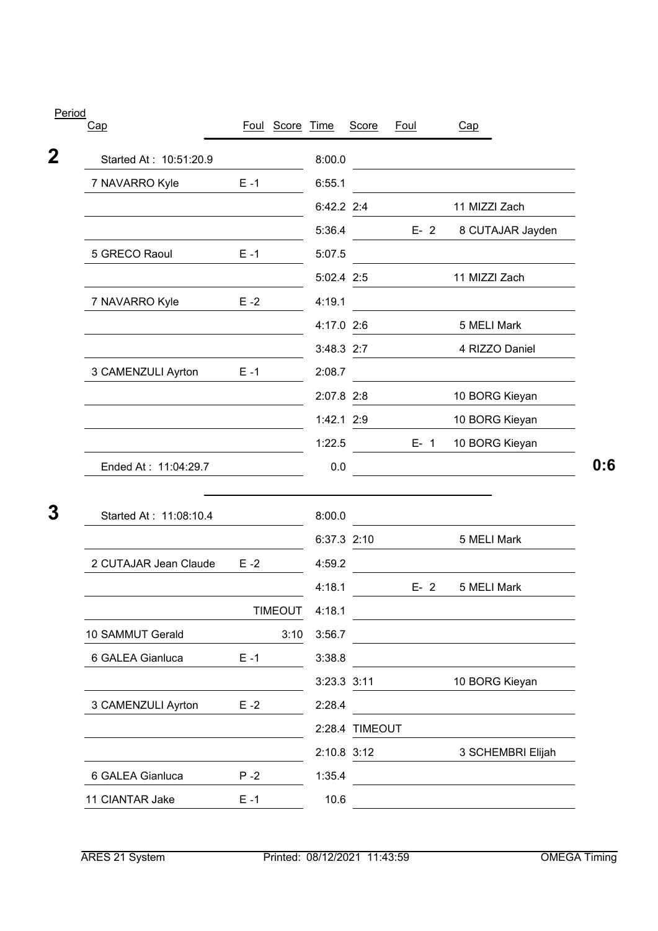| Cap                    |         | Foul Score Time |              | <b>Score</b>   | <b>Foul</b> | Cap                                                                                                                   |
|------------------------|---------|-----------------|--------------|----------------|-------------|-----------------------------------------------------------------------------------------------------------------------|
| Started At: 10:51:20.9 |         |                 | 8:00.0       |                |             |                                                                                                                       |
| 7 NAVARRO Kyle         | $E - 1$ |                 | 6:55.1       |                |             |                                                                                                                       |
|                        |         |                 | 6:42.2 2:4   |                |             | 11 MIZZI Zach                                                                                                         |
|                        |         |                 | 5:36.4       |                | $E-2$       | 8 CUTAJAR Jayden                                                                                                      |
| 5 GRECO Raoul          | $E - 1$ |                 | 5:07.5       |                |             |                                                                                                                       |
|                        |         |                 | 5:02.4 2:5   |                |             | 11 MIZZI Zach                                                                                                         |
| 7 NAVARRO Kyle         | $E - 2$ |                 | 4:19.1       |                |             |                                                                                                                       |
|                        |         |                 | 4:17.0 2:6   |                |             | 5 MELI Mark                                                                                                           |
|                        |         |                 | 3:48.3 2:7   |                |             | 4 RIZZO Daniel                                                                                                        |
| 3 CAMENZULI Ayrton     | $E - 1$ |                 | 2:08.7       |                |             |                                                                                                                       |
|                        |         |                 | 2:07.8 2:8   |                |             | 10 BORG Kieyan                                                                                                        |
|                        |         |                 | $1:42.1$ 2:9 |                |             | 10 BORG Kieyan                                                                                                        |
|                        |         |                 | 1:22.5       |                | $E-1$       | 10 BORG Kieyan                                                                                                        |
| Ended At: 11:04:29.7   |         |                 | 0.0          |                |             | <u>and the second contract of the second contract of the second contract of the second contract of the second con</u> |
| Started At: 11:08:10.4 |         |                 | 8:00.0       |                |             |                                                                                                                       |
|                        |         |                 | 6:37.3 2:10  |                |             | 5 MELI Mark                                                                                                           |
| 2 CUTAJAR Jean Claude  | $E - 2$ |                 | 4:59.2       |                |             |                                                                                                                       |
|                        |         |                 | 4:18.1       |                | $E - 2$     | 5 MELI Mark                                                                                                           |
|                        |         | <b>TIMEOUT</b>  | 4:18.1       |                |             |                                                                                                                       |
| 10 SAMMUT Gerald       |         | 3:10            | 3:56.7       |                |             |                                                                                                                       |
| 6 GALEA Gianluca       | $E - 1$ |                 | 3:38.8       |                |             |                                                                                                                       |
|                        |         |                 | 3:23.3 3:11  |                |             | 10 BORG Kieyan                                                                                                        |
| 3 CAMENZULI Ayrton     | $E - 2$ |                 | 2:28.4       |                |             |                                                                                                                       |
|                        |         |                 |              | 2:28.4 TIMEOUT |             |                                                                                                                       |
|                        |         |                 | 2:10.8 3:12  |                |             | 3 SCHEMBRI Elijah                                                                                                     |
| 6 GALEA Gianluca       | $P - 2$ |                 | 1:35.4       |                |             |                                                                                                                       |
| 11 CIANTAR Jake        | $E - 1$ |                 | 10.6         |                |             |                                                                                                                       |